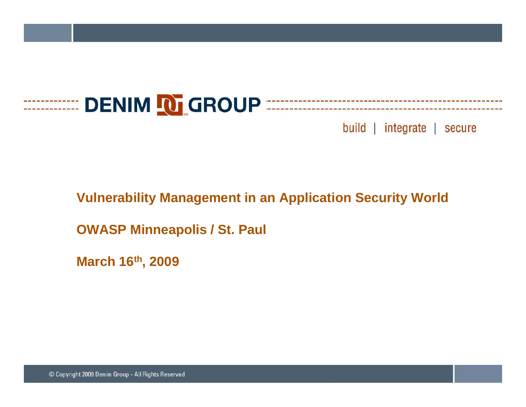

#### **Vulnerability Management in an Application Security World**

**OWASP Minneapolis / St Paul / St.** 

**March 16th, 2009**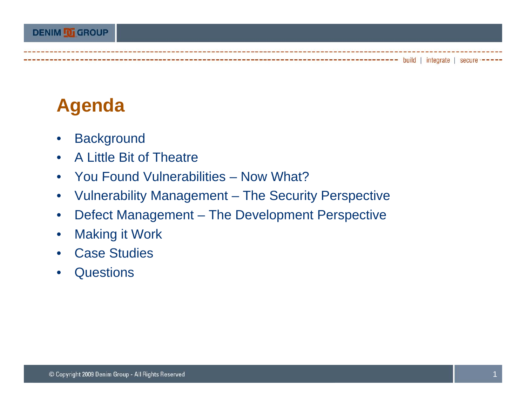### **Agenda**

- $\bullet$ **Background**
- $\bullet$ A Little Bit of Theatre
- $\bullet$ You Found Vulnerabilities – Now What?
- $\bullet$ Vulnerability Management – The Security Perspective
- $\bullet$ Defect Management – The Development Perspective
- $\bullet$ Making it Work
- $\bullet$ Case Studies
- •**Questions**

 $------ - -$  build | integrate | secure  $---$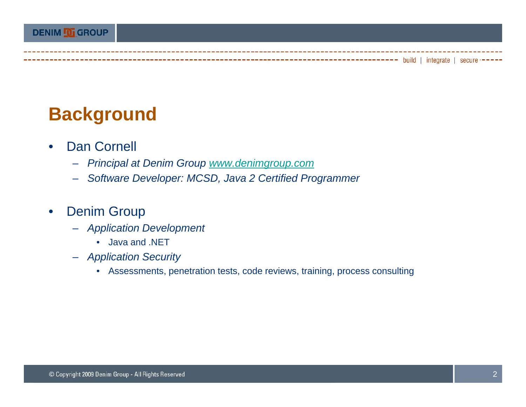### **Background**

- $\bullet$  Dan Cornell
	- *Principal at Denim Group www.denimgroup.com*
	- *Software Developer: MCSD Java 2 Certified Programmer MCSD,*

#### $\bullet$ Denim Group

- *Application Development*
	- Java and .NET
- *Application Security*
	- Assessments, penetration tests, code reviews, training, process consulting

-------------------- build | integrate | secure -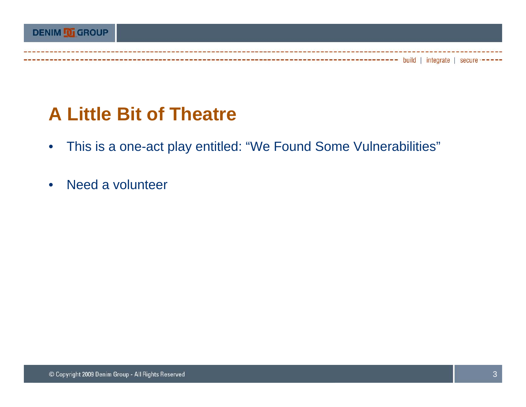### **A Little Bit of Theatre**

- $\bullet$ This is a one-act play entitled: "We Found Some Vulnerabilities"
- •Need a voluntee r

---------------------- build | integrate | secure --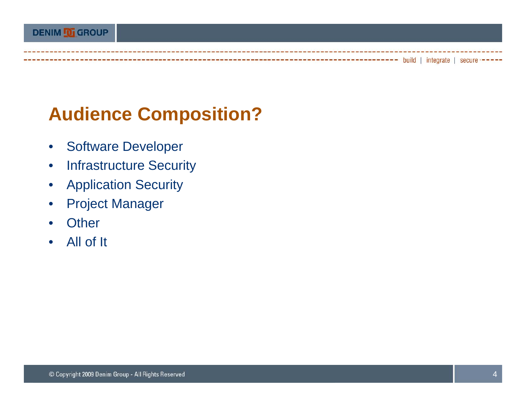## **Audience Composition?**

- $\bullet$ Software Developer
- •Infrastructure Security
- $\bullet$ Application Security
- •Project Manager
- $\bullet$ **Other**
- All of It

---- build | integrate | secure ---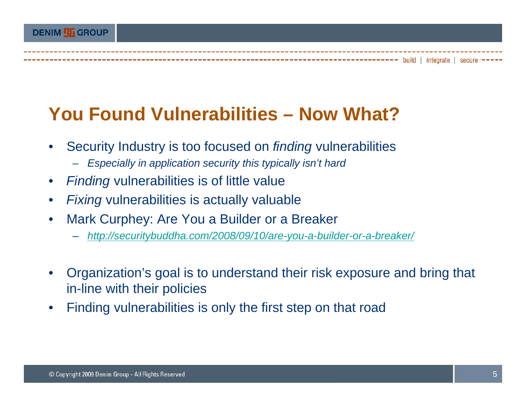#### **DENIM DI GROUP**

### **You Found Vulnerabilities – Now What?**

- • Security Industry is too focused on *finding* vulnerabilities
	- *Especially in application security this typically isn't hard*
- •• Finding vulnerabilities is of little value
- $\bullet$ *Fixing* vulnerabilities is actually valuable
- • Mark Curphey: Are You a Builder or a Breaker
	- *http://securitybuddha.com/2008/09/10/are-you-a-builder-or-a-breaker/*
- • Organization's goal is to understand their risk exposure and bring that in-line with their policies
- •Finding vulnerabilities is only the first step on that road

----- build | integrate | secure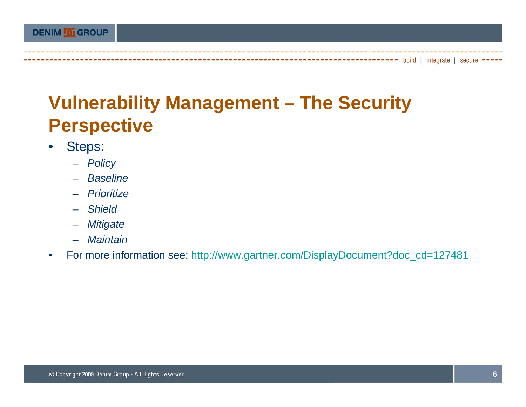### **Vulnerability Management – The Security Perspective**

- $\bullet$  Steps:
	- *Policy*
	- *Baseline*
	- *Prioritize*
	- *Shield*
	- *Mitigate*
	- *Maintain*
- $\bullet$ For more information see: http://www.gartner.com/DisplayDocument?doc\_cd=127481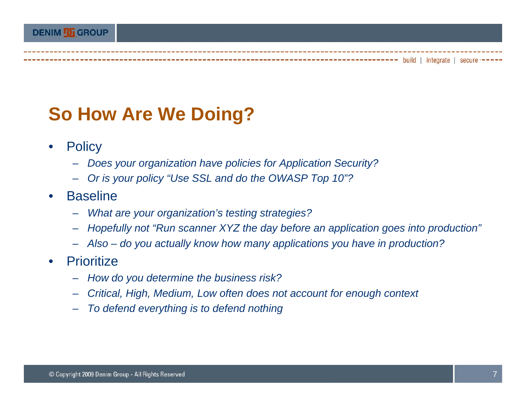### **So How Are We Doing?**

- $\bullet$ **Policy** 
	- *Does your organization have policies for Application Security?*
	- Or is your policy "Use SSL and do the OWASP Top 10"?
- $\bullet$  Baseline
	- –*What are your organization's testing strategies?*
	- Hopefully not "Run scanner XYZ the day before an application goes into production"
	- *Also – do you actually know how many applications you have in production?*
- $\bullet$ **Prioritize** 
	- *How do you determine the business risk? you*
	- *Critical, High, Medium, Low often does not account for enough context*
	- *To defend everything is to defend nothing*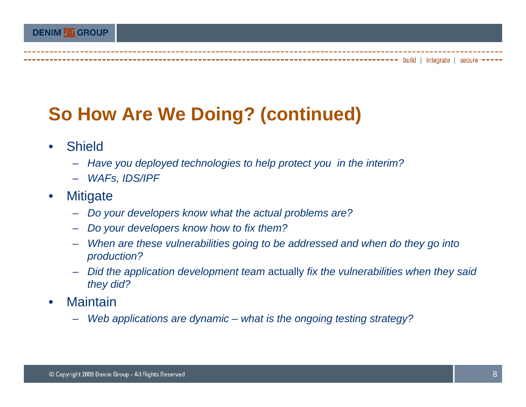### **So How Are We Doing? (continued)**

- $\bullet$  Shield
	- *Have you deployed technologies to help protect you in the interim?*
	- *WAFs IDS/IPF WAFs,*
- $\bullet$ **Mitigate** 
	- *Do your developers know what the actual problems are?*
	- *Do your developers know how to fix them? how fix*
	- *When are these vulnerabilities going to be addressed and when do they go into production?*
	- *Did the application development team* actually *fix the vulnerabilities when they said they did ?*
- •**Maintain** 
	- *Web applications are dynamic – what is the ongoing testing strategy?*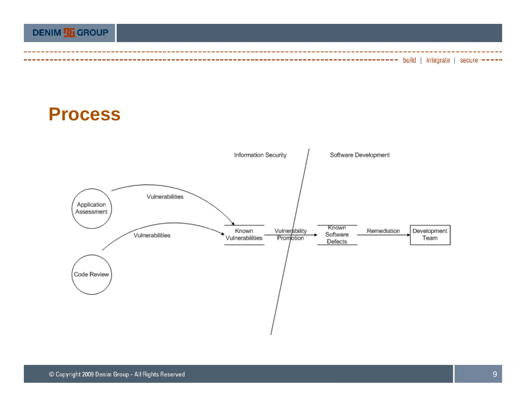### **DENIM O GROUP** -- build | integrate | secure --

#### **Process**

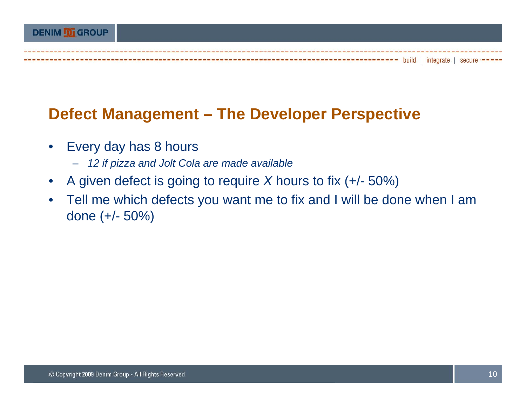#### **Defect Management – The Developer Perspective**

- $\bullet$  Every day has 8 hours
	- *12 if pizza and Jolt Cola are made available*
- $\bullet$ • A given defect is going to require  $X$  hours to fix (+/-  $\,$ 50%)
- $\bullet$  Tell me which defects you want me to fix and I will be done when I am done (+/- 50%)

----- build | integrate | secure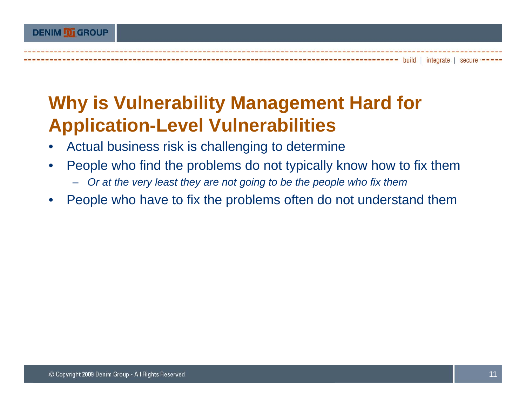### **Why is Vulnerability Management Hard for Application -Level Vulnerabilities Level**

- •Actual business risk is challenging to determine
- • People who find the problems do not typically know how to fix them
	- *Or at the very least they are not going to be the people who fix them*
- $\bullet$ People who have to fix the problems often do not understand them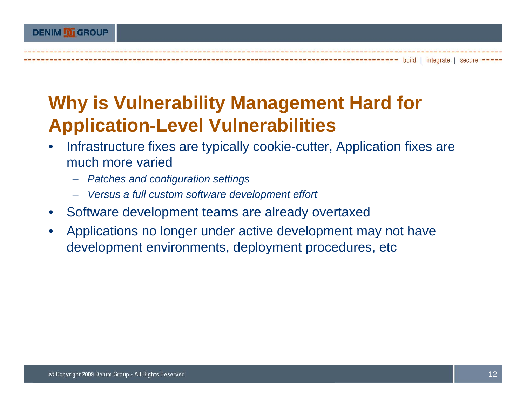### **Why is Vulnerability Management Hard for Application -Level Vulnerabilities Level**

- • Infrastructure fixes are typically cookie-cutter, Application fixes are much more varied
	- *Patches and configuration settings*
	- *Versus a full custom software development effort*
- Software development teams are already overtaxed
- •Applications no longer under active development may not have development environments, deployment procedures, etc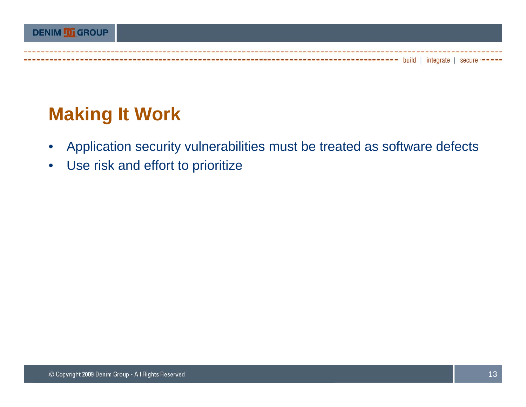# **Making It Work**

- $\bullet$ Application security vulnerabilities must be treated as software defects
- $\bullet$ Use risk and effort to prioritize

---- build | integrate | secure -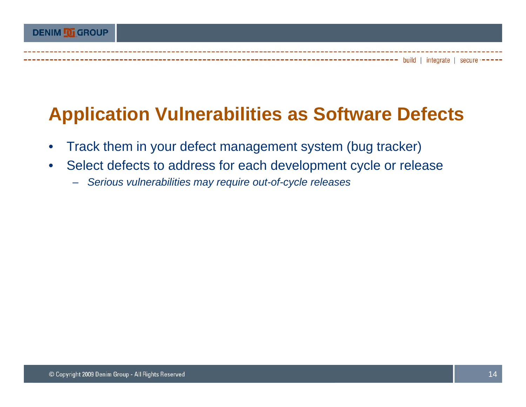### **DENIM O GROUP** ----- build | integrate | secure

## **Application Vulnerabilities as Software Defects**

- $\bullet$ Track them in your defect management system (bug tracker)
- • Select defects to address for each development cycle or release
	- *Serious vulnerabilities may require out-of-cycle releases*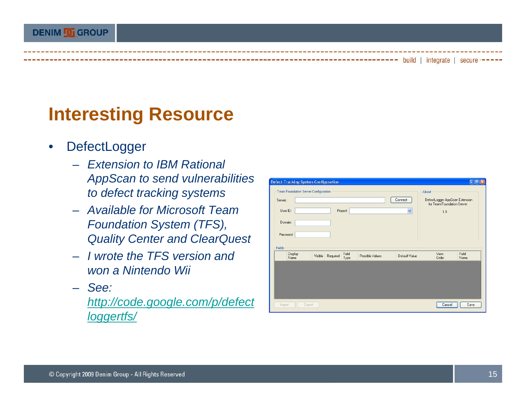### **Interesting Resource**

- $\bullet$ **DefectLogger** 
	- *Extension to IBM Rational AppScan to send vulnerabilities to to defect tracking systems*
	- *Available for Microsoft Team Foundation Sy ( ), stem (TFS), Quality Center and ClearQuest*
	- *I wrote the TFS version and won a Nintendo Wii*
	- *See:*

*http://code.google.com/p/defect loggertfs/*

|                     |                 |               | for Team Foundation Server | DefectLogger AppScan Extension |
|---------------------|-----------------|---------------|----------------------------|--------------------------------|
|                     | Project:        | $\checkmark$  | 1.0                        |                                |
|                     |                 |               |                            |                                |
|                     |                 |               |                            |                                |
|                     |                 |               |                            |                                |
| Visible<br>Required | Possible Values | Default Value | View<br>Order              | Field<br>Name                  |
|                     |                 | Field<br>Type |                            |                                |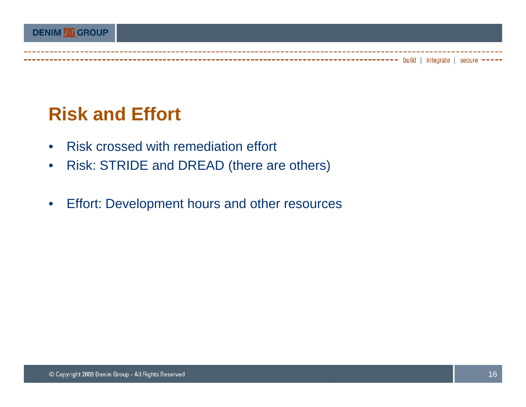### **Risk and Effort**

--------------------

- $\bullet$ Risk crossed with remediation effort
- $\bullet$ Risk: STRIDE and DREAD (there are others)
- $\bullet$ Effort: Development hours and other resources

--- build | integrate | secure --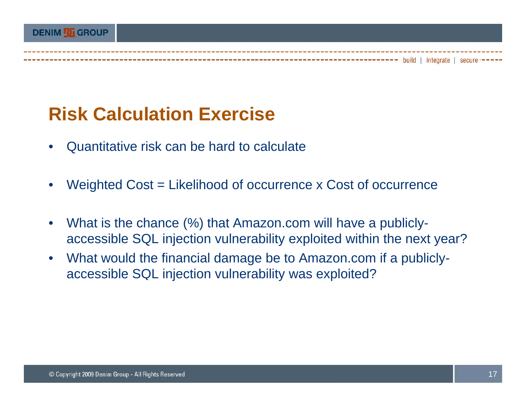### **Risk Calculation Exercise**

- •Quantitative risk can be hard to calculate
- •Weighted Cost = Likelihood of occurrence x Cost of occurrence
- •What is the chance (%) that Amazon.com will have a publiclyaccessible SQL injection vulnerability exploited within the next year?
- • What would the financial damage be to Amazon.com if a publiclyaccessible SQL injection vulnerability was exploited?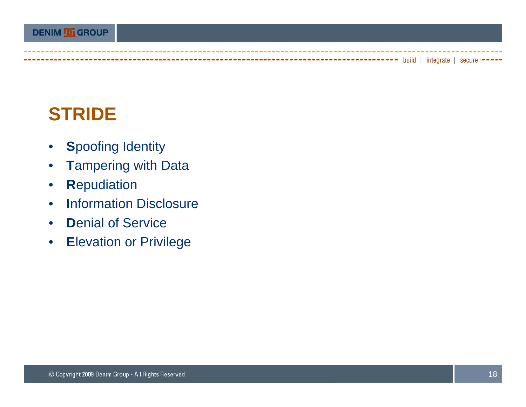### **STRIDE**

- $\bullet$ **S**poofing Identity
- •**T**ampering with Data
- $\bullet$ **R**epudiation
- $\bullet$ **I**nformation Disclosure
- •**Denial of Service**
- •**E**levation or Privilege

--- build | integrate | secure --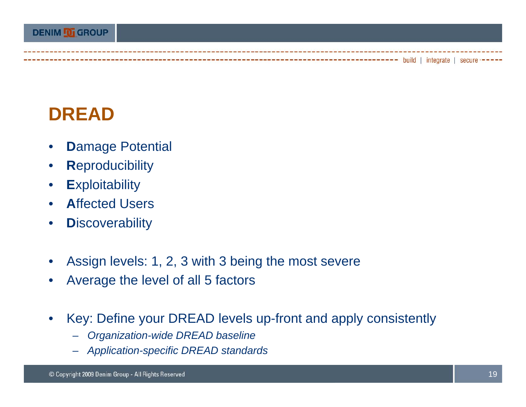### **DREAD**

- $\bullet$ **D**amage Potential
- $\bullet$ **R**eproducibility
- $\bullet$ **E**xploitability
- $\bullet$ **A**ffected Users
- $\bullet$ **Discoverability**
- •Assign levels: 1, 2, 3 with 3 being the most severe
- •Average the level of all 5 factors
- $\bullet$  Key: Define your DREAD levels up-front and apply consistently
	- *Organization-wide DREAD baseline*
	- *Application-specific DREAD standards*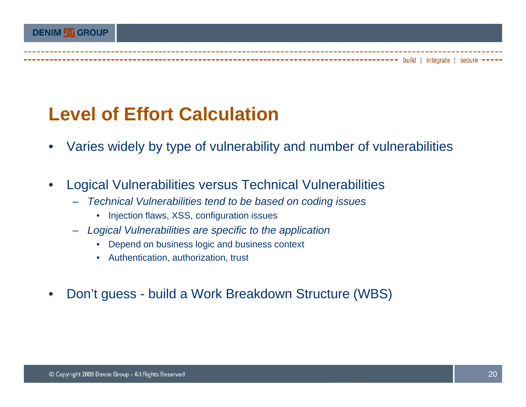### **Level of Effort Calculation**

- •Varies widely by type of vulnerability and number of vulnerabilities
- • Logical Vulnerabilities versus Technical Vulnerabilities
	- – *Technical Vulnerabilities tend to be based on coding issues*
		- Injection flaws, XSS, configuration issues
	- *Logical Vulnerabilities are specific to the application*
		- Depend on business logic and business context
		- Authentication, authorization, trust
- •Don't guess - build a Work Breakdown Structure (WBS)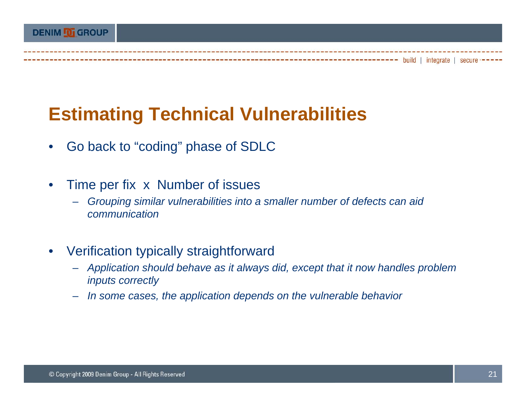### **Estimating Technical Vulnerabilities**

- •Go back to "coding" phase of SDLC
- $\bullet$  Time per fix x Number of issues
	- – *Grouping similar vulnerabilities into a smaller number of defects can aid communication*
- • Verification typically straightforward
	- *Application should behave as it always did, except that it now handles problem inputs correctly*
	- –*In some cases, the application depends on the vulnerable behavior*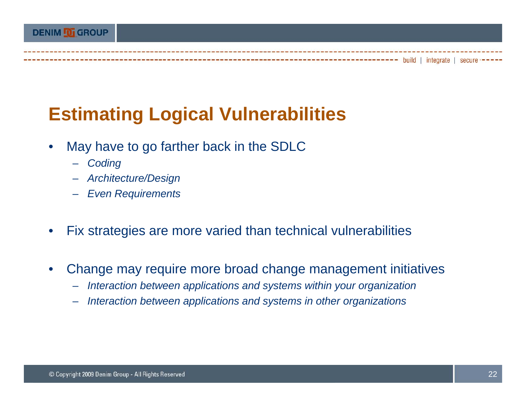### **Estimating Logical Vulnerabilities**

- • May have to go farther back in the SDLC
	- *Coding*
	- *Architecture/Design*
	- *Even Requirements*
- •Fix strategies are more varied than technical vulnerabilities
- • Change may require more broad change management initiatives
	- –*Interaction between applications and systems within your organization*
	- –*Interaction between applications and systems in other organizations*

----- build | integrate | secure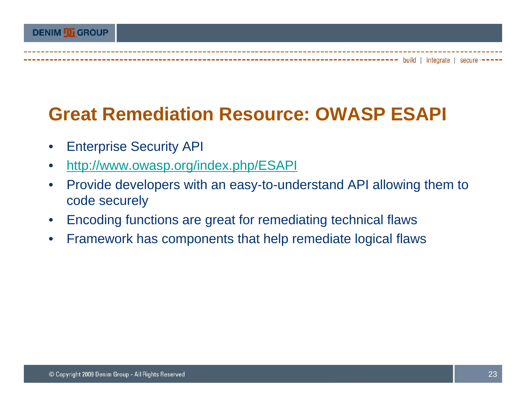### **Great Remediation Resource: OWASP ESAPI**

- $\bullet$ Enterprise Security API
- $\bullet$ http://www.owasp.org/index.php/ESAPI
- $\bullet$  Provide developers with an easy-to-understand API allowing them to code securely
- $\bullet$ Encoding functions are great for remediating technical flaws
- $\bullet$ Framework has components that help remediate logical flaws

----- build | integrate | secure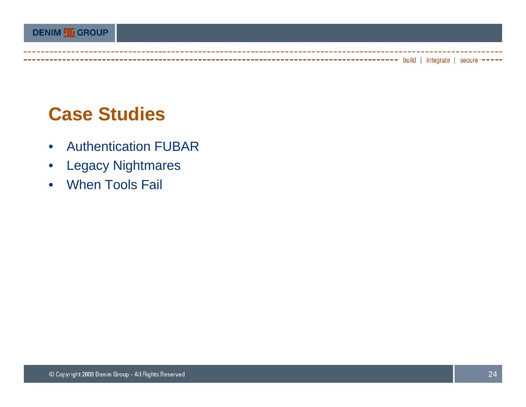### **Case Studies**

----------------------

- $\bullet$ Authentication FUBAR
- $\bullet$ Legacy Nightmares
- When Tools Fail

---------------------- build | integrate | secure -----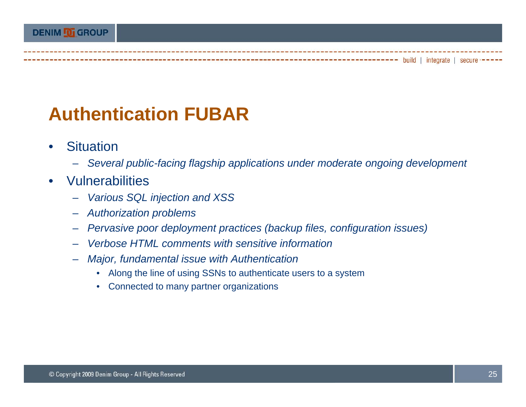### **Authentication FUBAR**

- •**Situation** 
	- *Several public-facing flagship applications under moderate ongoing development*
- •• Vulnerabilities
	- –*Various SQL injection and XSS*
	- *Authorization problems*
	- –*Pervasive poor deployment practices ( poor (backup files configuration issues) files,*
	- *Verbose HTML comments with sensitive information*
	- *Major, fundamental issue with Authentication*
		- Along the line of using SSNs to authenticate users to a system
		- Connected to many partner organizations

--------- build | integrate | secure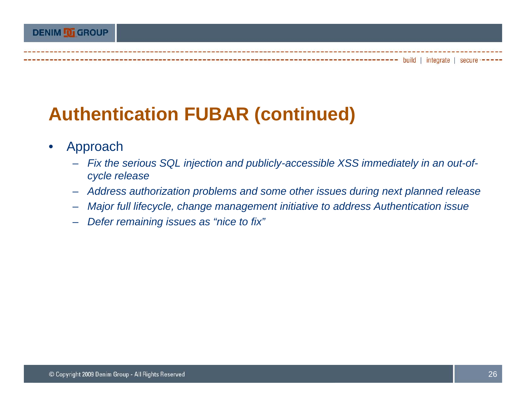### **Authentication FUBAR (continued)**

- • Approach
	- *Fix the serious SQL injection and publicly-accessible XSS immediately in an out-ofcycle release*
	- *Address authorization problems and some other issues during next planned release*
	- *Major full lifecycle, change management initiative to address Authentication issue*
	- *Defer remaining issues as "nice to fix"*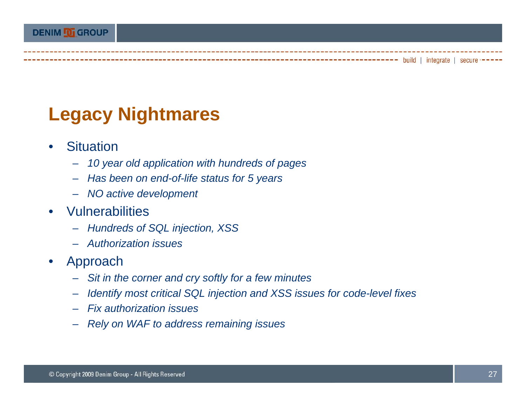### **Legacy Nightmares**

- •**Situation** 
	- *10 year old application with hundreds of pages*
	- *Has been on end end-of-life status for 5 years life*
	- *NO active development*
- Vulnerabilities
	- *Hundreds of SQL injection XSS Hundreds injection,*
	- *Authorization issues*
- $\bullet$  Approach
	- Sit in the corner and cry softly for a few minutes
	- *Identify most critical SQL injection and XSS issues for code-level fixes*
	- *Fix authorization issues*
	- *Rely on WAF to address remaining issues*

----- build | integrate | secure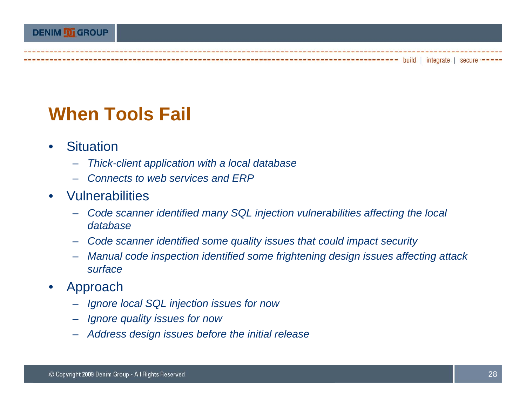### **When Tools Fail**

- •**Situation** 
	- –*Thick-client application with a local database*
	- *Connects to web services and ERP*
- $\bullet$  Vulnerabilities
	- – *Code scanner identified many SQL injection vulnerabilities affecting the local database*
	- –*Code scanner identified some quality issues that could impact security*
	- *Manual code inspection identified some frightening design issues affecting attack surface*
- $\bullet$  Approach
	- *Ignore local SQL injection issues for now*
	- *Ignore quality issues for now*
	- Address design issues before the initial release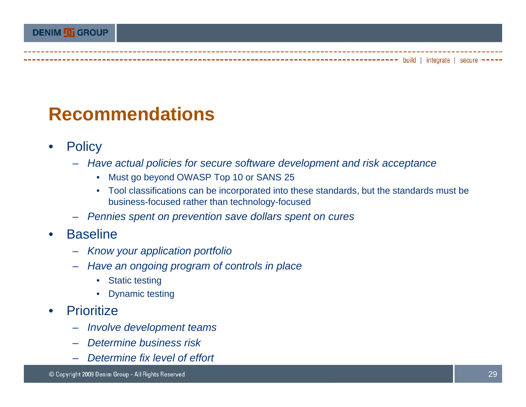#### **Recommendations**

- $\bullet$ **Policy** 
	- *Have actual policies for secure software development and risk acceptance*
		- Must go beyond OWASP Top 10 or SANS 25
		- Tool classifications can be incorporated into these standards, but the standards must be business-focused rather than technology-focused
	- *Pennies spent on prevention save dollars spent on cures*
- •**Baseline** 
	- –*Know your application portfolio*
	- *Have an ongoing program of controls in place*
		- Static testing
		- Dynamic testing
- •**Prioritize** 
	- *Involve development teams*
	- *Determine business risk*
	- *Determine fix level of effort*

----- build | integrate | secure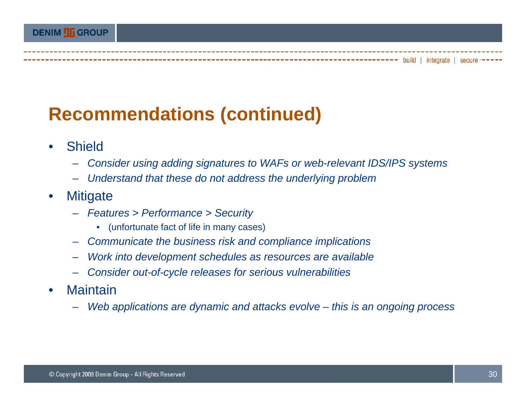## **Recommendations (continued)**

- $\bullet$  Shield
	- *Consider using adding signatures to WAFs or web-relevant IDS/IPS systems*
	- *Understand that these do not address the underlying problem these not*
- $\bullet$ **Mitigate** 
	- *Features > Performance > Security*
		- (unfortunate fact of life in many cases)
	- *Communicate the business risk and compliance implications*
	- *Work into development schedules as resources are available*
	- *Consider out-of-cycle releases for serious vulnerabilities*
- •**Maintain** 
	- *Web applications are dynamic and attacks evolve – this is an ongoing process*